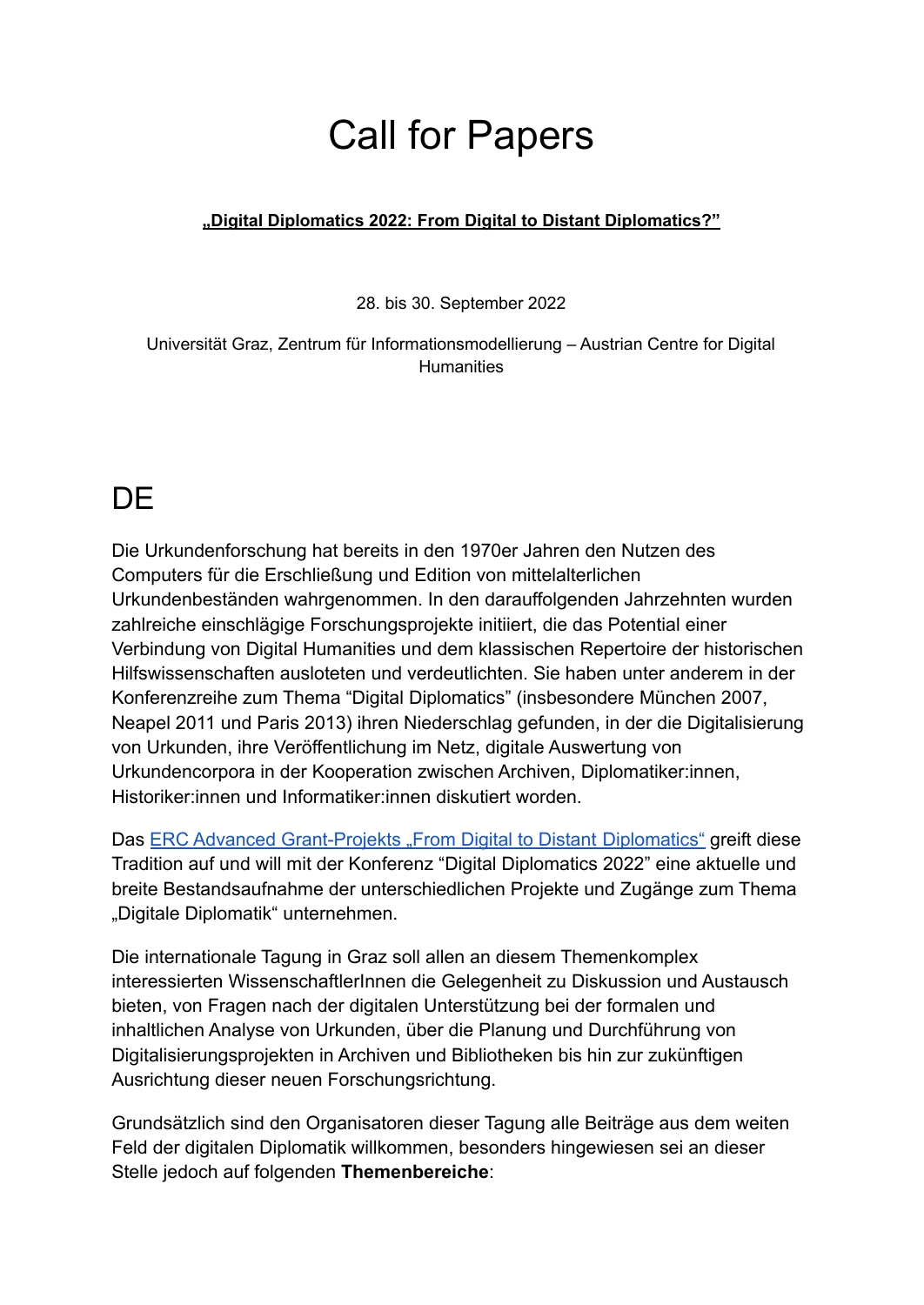# Call for Papers

### **"Digital Diplomatics 2022: From Digital to Distant Diplomatics?"**

28. bis 30. September 2022

Universität Graz, Zentrum für Informationsmodellierung – Austrian Centre for Digital **Humanities** 

## **DE**

Die Urkundenforschung hat bereits in den 1970er Jahren den Nutzen des Computers für die Erschließung und Edition von mittelalterlichen Urkundenbeständen wahrgenommen. In den darauffolgenden Jahrzehnten wurden zahlreiche einschlägige Forschungsprojekte initiiert, die das Potential einer Verbindung von Digital Humanities und dem klassischen Repertoire der historischen Hilfswissenschaften ausloteten und verdeutlichten. Sie haben unter anderem in der Konferenzreihe zum Thema "Digital Diplomatics" (insbesondere München 2007, Neapel 2011 und Paris 2013) ihren Niederschlag gefunden, in der die Digitalisierung von Urkunden, ihre Veröffentlichung im Netz, digitale Auswertung von Urkundencorpora in der Kooperation zwischen Archiven, Diplomatiker:innen, Historiker:innen und Informatiker:innen diskutiert worden.

Das [ERC Advanced Grant-Projekts "From Digital to Distant](https://didip.eu) Diplomatics" greift diese Tradition auf und will mit der Konferenz "Digital Diplomatics 2022" eine aktuelle und breite Bestandsaufnahme der unterschiedlichen Projekte und Zugänge zum Thema "Digitale Diplomatik" unternehmen.

Die internationale Tagung in Graz soll allen an diesem Themenkomplex interessierten WissenschaftlerInnen die Gelegenheit zu Diskussion und Austausch bieten, von Fragen nach der digitalen Unterstützung bei der formalen und inhaltlichen Analyse von Urkunden, über die Planung und Durchführung von Digitalisierungsprojekten in Archiven und Bibliotheken bis hin zur zukünftigen Ausrichtung dieser neuen Forschungsrichtung.

Grundsätzlich sind den Organisatoren dieser Tagung alle Beiträge aus dem weiten Feld der digitalen Diplomatik willkommen, besonders hingewiesen sei an dieser Stelle jedoch auf folgenden **Themenbereiche**: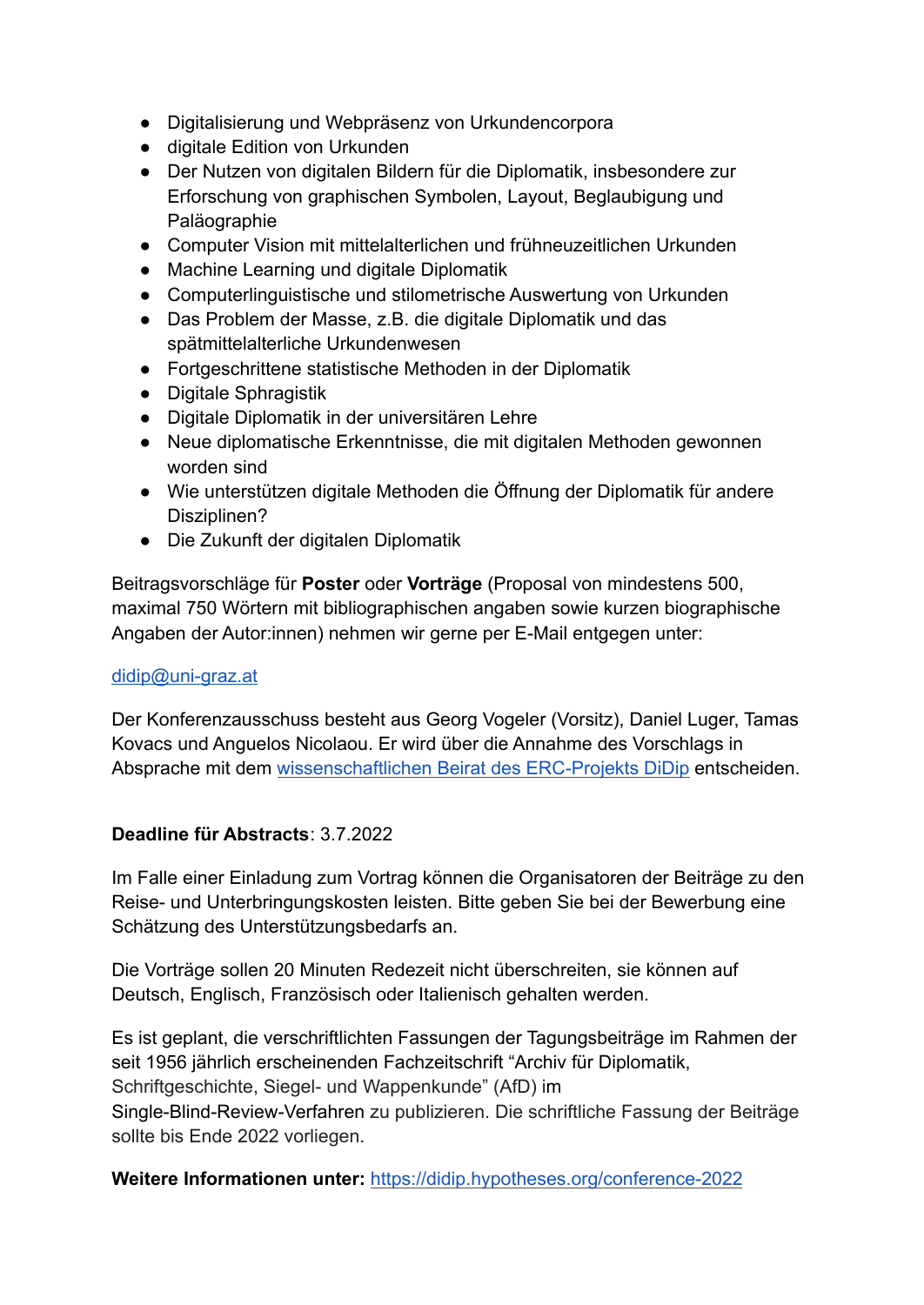- Digitalisierung und Webpräsenz von Urkundencorpora
- digitale Edition von Urkunden
- Der Nutzen von digitalen Bildern für die Diplomatik, insbesondere zur Erforschung von graphischen Symbolen, Layout, Beglaubigung und Paläographie
- Computer Vision mit mittelalterlichen und frühneuzeitlichen Urkunden
- Machine Learning und digitale Diplomatik
- Computerlinguistische und stilometrische Auswertung von Urkunden
- Das Problem der Masse, z.B. die digitale Diplomatik und das spätmittelalterliche Urkundenwesen
- Fortgeschrittene statistische Methoden in der Diplomatik
- Digitale Sphragistik
- Digitale Diplomatik in der universitären Lehre
- Neue diplomatische Erkenntnisse, die mit digitalen Methoden gewonnen worden sind
- Wie unterstützen digitale Methoden die Öffnung der Diplomatik für andere Disziplinen?
- Die Zukunft der digitalen Diplomatik

Beitragsvorschläge für **Poster** oder **Vorträge** (Proposal von mindestens 500, maximal 750 Wörtern mit bibliographischen angaben sowie kurzen biographische Angaben der Autor:innen) nehmen wir gerne per E-Mail entgegen unter:

### [didip@uni-graz.at](mailto:didip@uni-graz.at)

Der Konferenzausschuss besteht aus Georg Vogeler (Vorsitz), Daniel Luger, Tamas Kovacs und Anguelos Nicolaou. Er wird über die Annahme des Vorschlags in Absprache mit dem [wissenschaftlichen Beirat des ERC-Projekts](https://didip.hypotheses.org/the-team) DiDip entscheiden.

### **Deadline für Abstracts**: 3.7.2022

Im Falle einer Einladung zum Vortrag können die Organisatoren der Beiträge zu den Reise- und Unterbringungskosten leisten. Bitte geben Sie bei der Bewerbung eine Schätzung des Unterstützungsbedarfs an.

Die Vorträge sollen 20 Minuten Redezeit nicht überschreiten, sie können auf Deutsch, Englisch, Französisch oder Italienisch gehalten werden.

Es ist geplant, die verschriftlichten Fassungen der Tagungsbeiträge im Rahmen der seit 1956 jährlich erscheinenden Fachzeitschrift "Archiv für Diplomatik, Schriftgeschichte, Siegel- und Wappenkunde" (AfD) im Single-Blind-Review-Verfahren zu publizieren. Die schriftliche Fassung der Beiträge sollte bis Ende 2022 vorliegen.

### **Weitere Informationen unter:** <https://didip.hypotheses.org/conference-2022>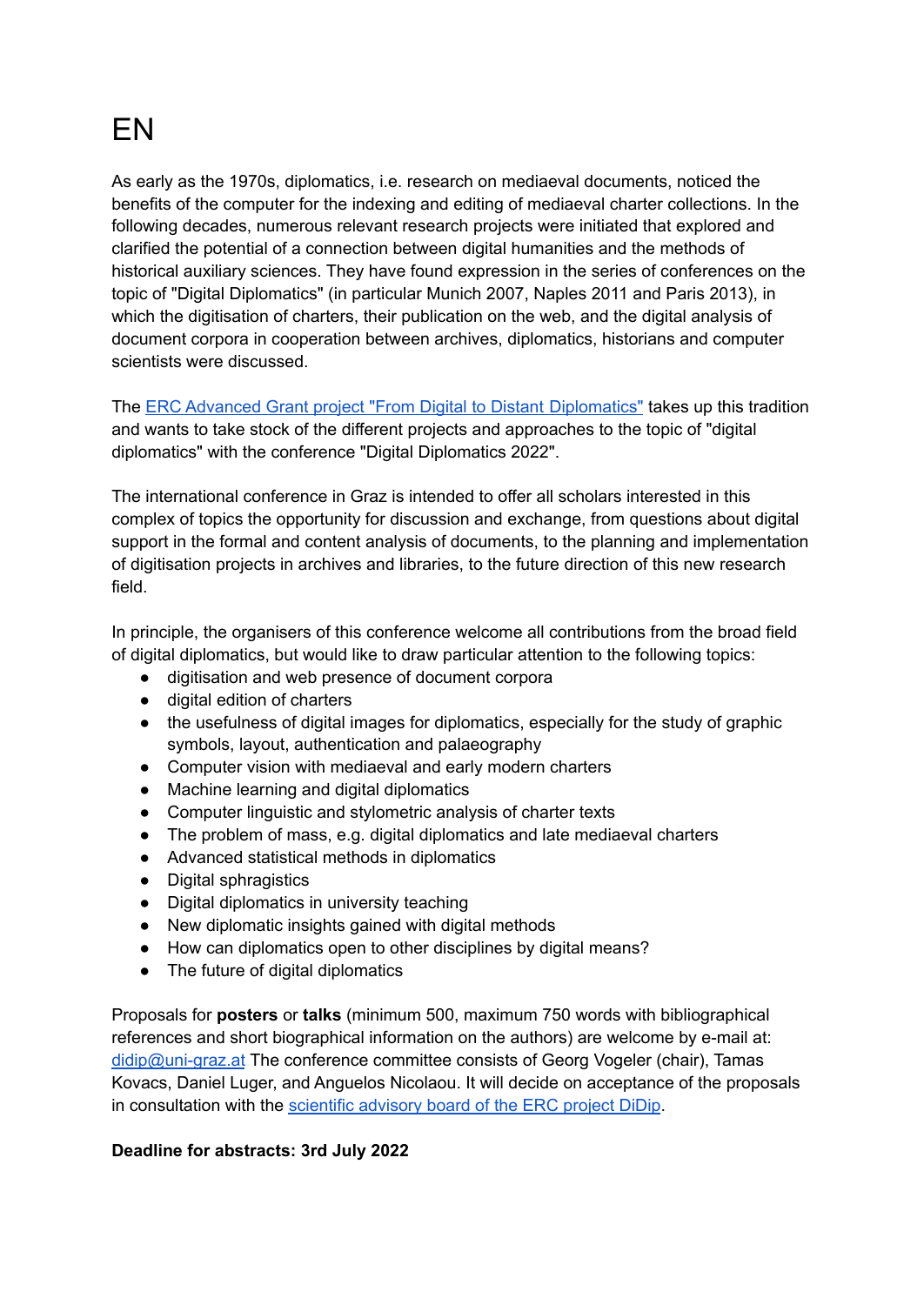### EN

As early as the 1970s, diplomatics, i.e. research on mediaeval documents, noticed the benefits of the computer for the indexing and editing of mediaeval charter collections. In the following decades, numerous relevant research projects were initiated that explored and clarified the potential of a connection between digital humanities and the methods of historical auxiliary sciences. They have found expression in the series of conferences on the topic of "Digital Diplomatics" (in particular Munich 2007, Naples 2011 and Paris 2013), in which the digitisation of charters, their publication on the web, and the digital analysis of document corpora in cooperation between archives, diplomatics, historians and computer scientists were discussed.

The ERC Advanced Grant project "From Digital to Distant [Diplomatics"](https://didip.eu) takes up this tradition and wants to take stock of the different projects and approaches to the topic of "digital diplomatics" with the conference "Digital Diplomatics 2022".

The international conference in Graz is intended to offer all scholars interested in this complex of topics the opportunity for discussion and exchange, from questions about digital support in the formal and content analysis of documents, to the planning and implementation of digitisation projects in archives and libraries, to the future direction of this new research field.

In principle, the organisers of this conference welcome all contributions from the broad field of digital diplomatics, but would like to draw particular attention to the following topics:

- digitisation and web presence of document corpora
- digital edition of charters
- the usefulness of digital images for diplomatics, especially for the study of graphic symbols, layout, authentication and palaeography
- Computer vision with mediaeval and early modern charters
- Machine learning and digital diplomatics
- Computer linguistic and stylometric analysis of charter texts
- The problem of mass, e.g. digital diplomatics and late mediaeval charters
- Advanced statistical methods in diplomatics
- Digital sphragistics
- Digital diplomatics in university teaching
- New diplomatic insights gained with digital methods
- How can diplomatics open to other disciplines by digital means?
- The future of digital diplomatics

Proposals for **posters** or **talks** (minimum 500, maximum 750 words with bibliographical references and short biographical information on the authors) are welcome by e-mail at: [didip@uni-graz.at](mailto:didip@uni-graz.at) The conference committee consists of Georg Vogeler (chair), Tamas Kovacs, Daniel Luger, and Anguelos Nicolaou. It will decide on acceptance of the proposals in consultation with the [scientific](https://didip.hypotheses.org/the-team) advisory board of the ERC project DiDip.

#### **Deadline for abstracts: 3rd July 2022**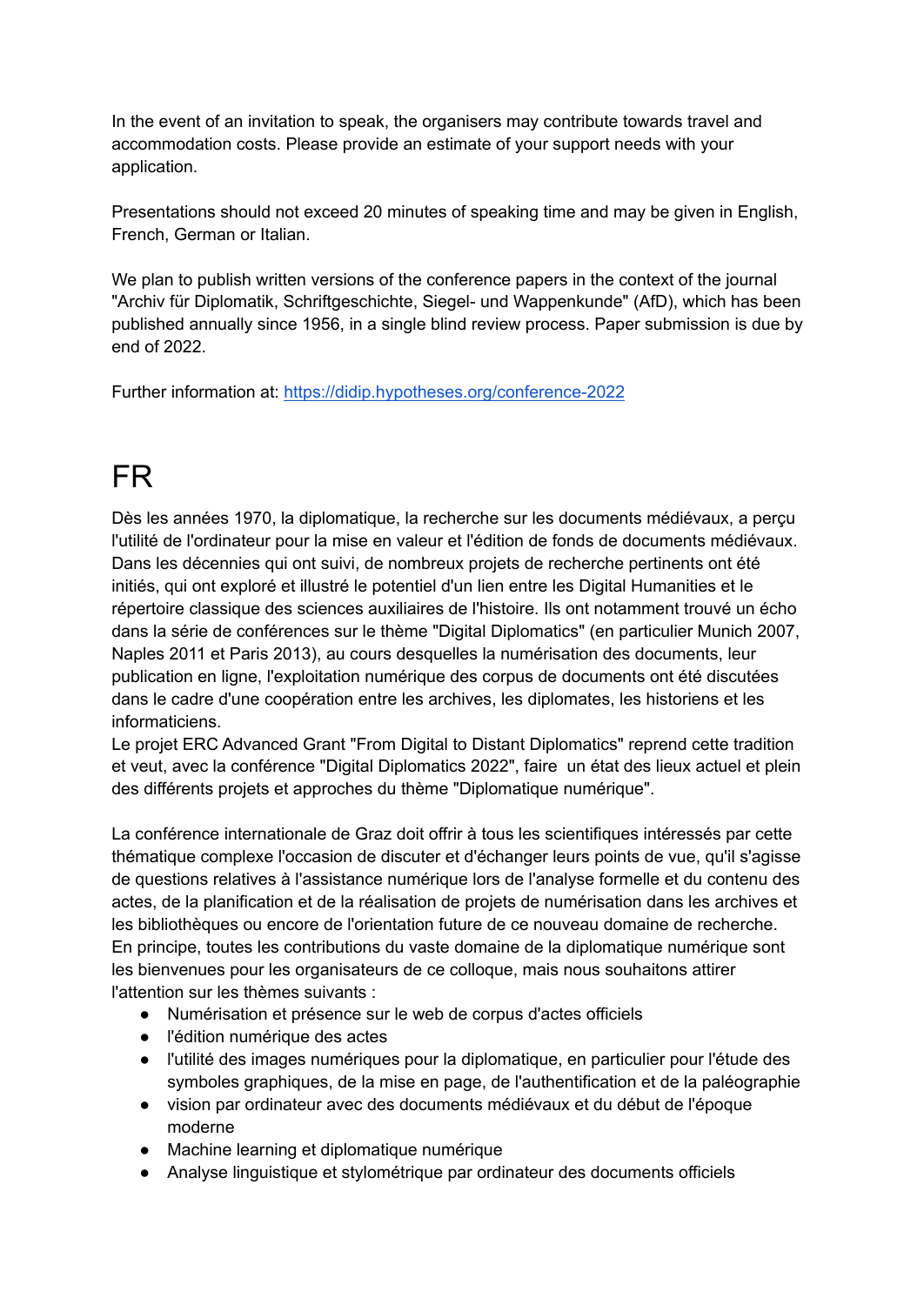In the event of an invitation to speak, the organisers may contribute towards travel and accommodation costs. Please provide an estimate of your support needs with your application.

Presentations should not exceed 20 minutes of speaking time and may be given in English, French, German or Italian.

We plan to publish written versions of the conference papers in the context of the journal "Archiv für Diplomatik, Schriftgeschichte, Siegel- und Wappenkunde" (AfD), which has been published annually since 1956, in a single blind review process. Paper submission is due by end of 2022.

Further information at: <https://didip.hypotheses.org/conference-2022>

## FR

Dès les années 1970, la diplomatique, la recherche sur les documents médiévaux, a perçu l'utilité de l'ordinateur pour la mise en valeur et l'édition de fonds de documents médiévaux. Dans les décennies qui ont suivi, de nombreux projets de recherche pertinents ont été initiés, qui ont exploré et illustré le potentiel d'un lien entre les Digital Humanities et le répertoire classique des sciences auxiliaires de l'histoire. Ils ont notamment trouvé un écho dans la série de conférences sur le thème "Digital Diplomatics" (en particulier Munich 2007, Naples 2011 et Paris 2013), au cours desquelles la numérisation des documents, leur publication en ligne, l'exploitation numérique des corpus de documents ont été discutées dans le cadre d'une coopération entre les archives, les diplomates, les historiens et les informaticiens.

Le projet ERC Advanced Grant "From Digital to Distant Diplomatics" reprend cette tradition et veut, avec la conférence "Digital Diplomatics 2022", faire un état des lieux actuel et plein des différents projets et approches du thème "Diplomatique numérique".

La conférence internationale de Graz doit offrir à tous les scientifiques intéressés par cette thématique complexe l'occasion de discuter et d'échanger leurs points de vue, qu'il s'agisse de questions relatives à l'assistance numérique lors de l'analyse formelle et du contenu des actes, de la planification et de la réalisation de projets de numérisation dans les archives et les bibliothèques ou encore de l'orientation future de ce nouveau domaine de recherche. En principe, toutes les contributions du vaste domaine de la diplomatique numérique sont les bienvenues pour les organisateurs de ce colloque, mais nous souhaitons attirer l'attention sur les thèmes suivants :

- Numérisation et présence sur le web de corpus d'actes officiels
- l'édition numérique des actes
- l'utilité des images numériques pour la diplomatique, en particulier pour l'étude des symboles graphiques, de la mise en page, de l'authentification et de la paléographie
- vision par ordinateur avec des documents médiévaux et du début de l'époque moderne
- Machine learning et diplomatique numérique
- Analyse linguistique et stylométrique par ordinateur des documents officiels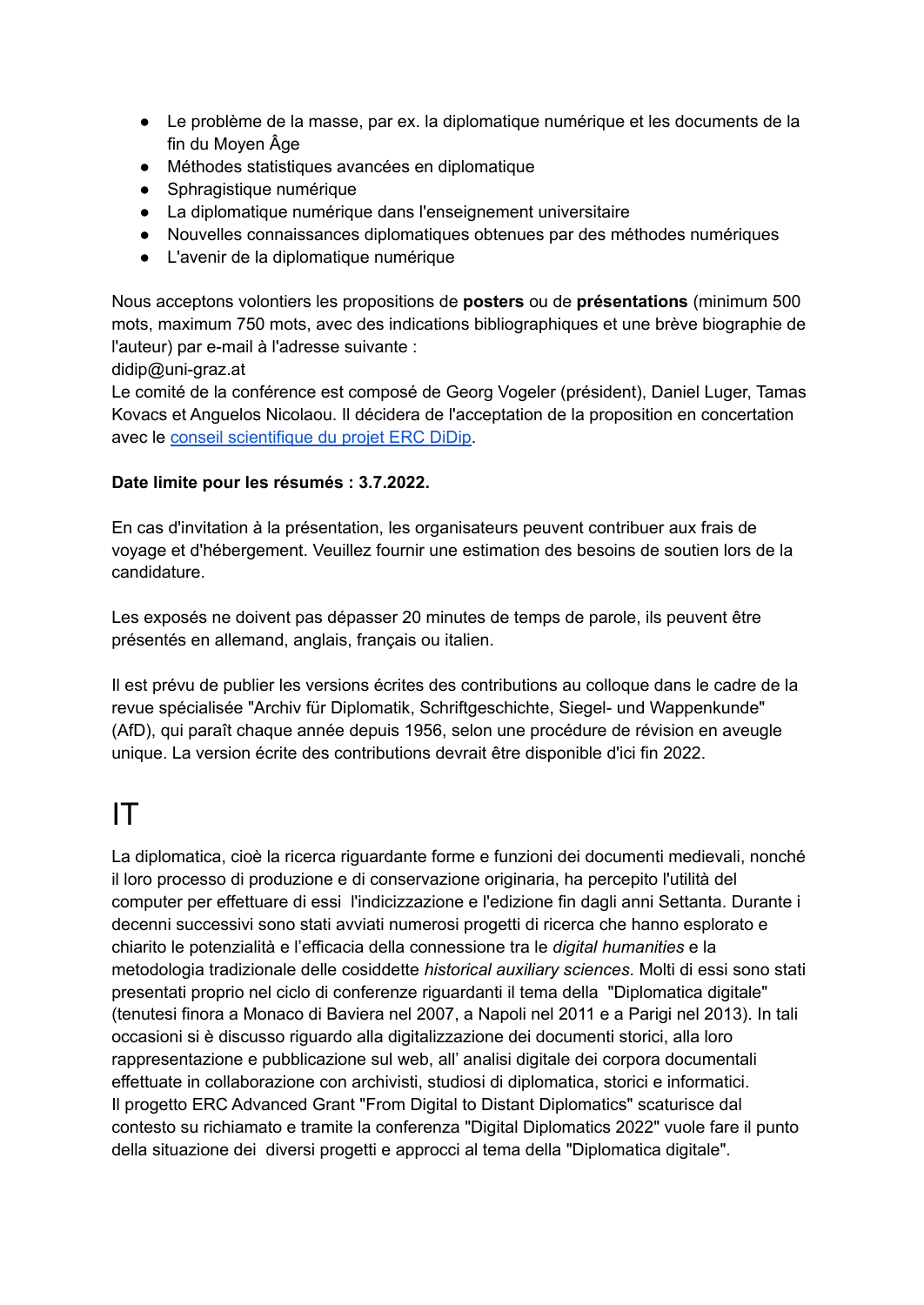- Le problème de la masse, par ex. la diplomatique numérique et les documents de la fin du Moyen Âge
- Méthodes statistiques avancées en diplomatique
- Sphragistique numérique
- La diplomatique numérique dans l'enseignement universitaire
- Nouvelles connaissances diplomatiques obtenues par des méthodes numériques
- L'avenir de la diplomatique numérique

Nous acceptons volontiers les propositions de **posters** ou de **présentations** (minimum 500 mots, maximum 750 mots, avec des indications bibliographiques et une brève biographie de l'auteur) par e-mail à l'adresse suivante :

didip@uni-graz.at

Le comité de la conférence est composé de Georg Vogeler (président), Daniel Luger, Tamas Kovacs et Anguelos Nicolaou. Il décidera de l'acceptation de la proposition en concertation avec le conseil [scientifique](https://didip.hypotheses.org/the-team) du projet ERC DiDip.

#### **Date limite pour les résumés : 3.7.2022.**

En cas d'invitation à la présentation, les organisateurs peuvent contribuer aux frais de voyage et d'hébergement. Veuillez fournir une estimation des besoins de soutien lors de la candidature.

Les exposés ne doivent pas dépasser 20 minutes de temps de parole, ils peuvent être présentés en allemand, anglais, français ou italien.

Il est prévu de publier les versions écrites des contributions au colloque dans le cadre de la revue spécialisée "Archiv für Diplomatik, Schriftgeschichte, Siegel- und Wappenkunde" (AfD), qui paraît chaque année depuis 1956, selon une procédure de révision en aveugle unique. La version écrite des contributions devrait être disponible d'ici fin 2022.

### IT

La diplomatica, cioè la ricerca riguardante forme e funzioni dei documenti medievali, nonché il loro processo di produzione e di conservazione originaria, ha percepito l'utilità del computer per effettuare di essi l'indicizzazione e l'edizione fin dagli anni Settanta. Durante i decenni successivi sono stati avviati numerosi progetti di ricerca che hanno esplorato e chiarito le potenzialità e l'efficacia della connessione tra le *digital humanities* e la metodologia tradizionale delle cosiddette *historical auxiliary sciences*. Molti di essi sono stati presentati proprio nel ciclo di conferenze riguardanti il tema della "Diplomatica digitale" (tenutesi finora a Monaco di Baviera nel 2007, a Napoli nel 2011 e a Parigi nel 2013). In tali occasioni si è discusso riguardo alla digitalizzazione dei documenti storici, alla loro rappresentazione e pubblicazione sul web, all' analisi digitale dei corpora documentali effettuate in collaborazione con archivisti, studiosi di diplomatica, storici e informatici. Il progetto ERC Advanced Grant "From Digital to Distant Diplomatics" scaturisce dal contesto su richiamato e tramite la conferenza "Digital Diplomatics 2022" vuole fare il punto della situazione dei diversi progetti e approcci al tema della "Diplomatica digitale".